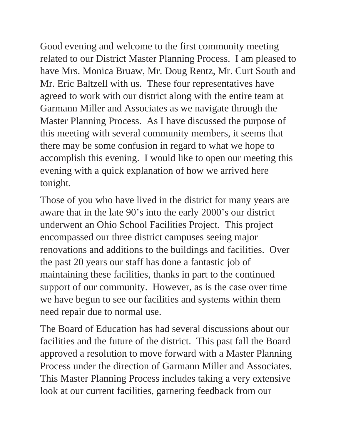Good evening and welcome to the first community meeting related to our District Master Planning Process. I am pleased to have Mrs. Monica Bruaw, Mr. Doug Rentz, Mr. Curt South and Mr. Eric Baltzell with us. These four representatives have agreed to work with our district along with the entire team at Garmann Miller and Associates as we navigate through the Master Planning Process. As I have discussed the purpose of this meeting with several community members, it seems that there may be some confusion in regard to what we hope to accomplish this evening. I would like to open our meeting this evening with a quick explanation of how we arrived here tonight.

Those of you who have lived in the district for many years are aware that in the late 90's into the early 2000's our district underwent an Ohio School Facilities Project. This project encompassed our three district campuses seeing major renovations and additions to the buildings and facilities. Over the past 20 years our staff has done a fantastic job of maintaining these facilities, thanks in part to the continued support of our community. However, as is the case over time we have begun to see our facilities and systems within them need repair due to normal use.

The Board of Education has had several discussions about our facilities and the future of the district. This past fall the Board approved a resolution to move forward with a Master Planning Process under the direction of Garmann Miller and Associates. This Master Planning Process includes taking a very extensive look at our current facilities, garnering feedback from our